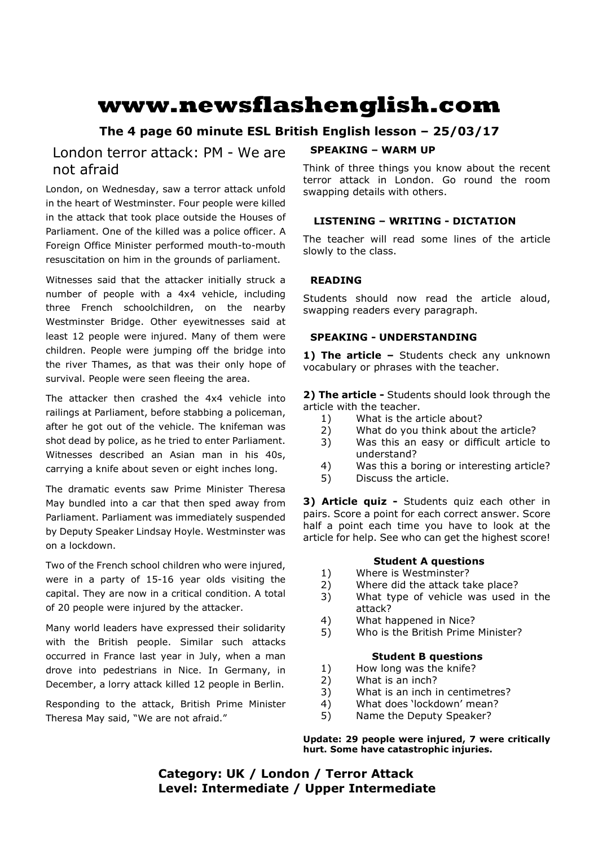# **www.newsflashenglish.com**

# **The 4 page 60 minute ESL British English lesson – 25/03/17**

# London terror attack: PM - We are not afraid

London, on Wednesday, saw a terror attack unfold in the heart of Westminster. Four people were killed in the attack that took place outside the Houses of Parliament. One of the killed was a police officer. A Foreign Office Minister performed mouth-to-mouth resuscitation on him in the grounds of parliament.

Witnesses said that the attacker initially struck a number of people with a 4x4 vehicle, including three French schoolchildren, on the nearby Westminster Bridge. Other eyewitnesses said at least 12 people were injured. Many of them were children. People were jumping off the bridge into the river Thames, as that was their only hope of survival. People were seen fleeing the area.

The attacker then crashed the 4x4 vehicle into railings at Parliament, before stabbing a policeman, after he got out of the vehicle. The knifeman was shot dead by police, as he tried to enter Parliament. Witnesses described an Asian man in his 40s, carrying a knife about seven or eight inches long.

The dramatic events saw Prime Minister Theresa May bundled into a car that then sped away from Parliament. Parliament was immediately suspended by Deputy Speaker Lindsay Hoyle. Westminster was on a lockdown.

Two of the French school children who were injured, were in a party of 15-16 year olds visiting the capital. They are now in a critical condition. A total of 20 people were injured by the attacker.

Many world leaders have expressed their solidarity with the British people. Similar such attacks occurred in France last year in July, when a man drove into pedestrians in Nice. In Germany, in December, a lorry attack killed 12 people in Berlin.

Responding to the attack, British Prime Minister Theresa May said, "We are not afraid."

#### **SPEAKING – WARM UP**

Think of three things you know about the recent terror attack in London. Go round the room swapping details with others.

#### **LISTENING – WRITING - DICTATION**

The teacher will read some lines of the article slowly to the class.

#### **READING**

Students should now read the article aloud, swapping readers every paragraph.

#### **SPEAKING - UNDERSTANDING**

1) The article - Students check any unknown vocabulary or phrases with the teacher.

**2) The article -** Students should look through the article with the teacher.

- 1) What is the article about?
- 2) What do you think about the article?
- 3) Was this an easy or difficult article to understand?
- 4) Was this a boring or interesting article?
- 5) Discuss the article.

**3) Article quiz -** Students quiz each other in pairs. Score a point for each correct answer. Score half a point each time you have to look at the article for help. See who can get the highest score!

### **Student A questions**

- 1) Where is Westminster?
- 2) Where did the attack take place?
- 3) What type of vehicle was used in the attack?
- 4) What happened in Nice?
- 5) Who is the British Prime Minister?

#### **Student B questions**

- 1) How long was the knife?
- 2) What is an inch?
- 3) What is an inch in centimetres?
- 4) What does 'lockdown' mean?
- 5) Name the Deputy Speaker?

**Update: 29 people were injured, 7 were critically hurt. Some have catastrophic injuries.** 

## **Category: UK / London / Terror Attack Level: Intermediate / Upper Intermediate**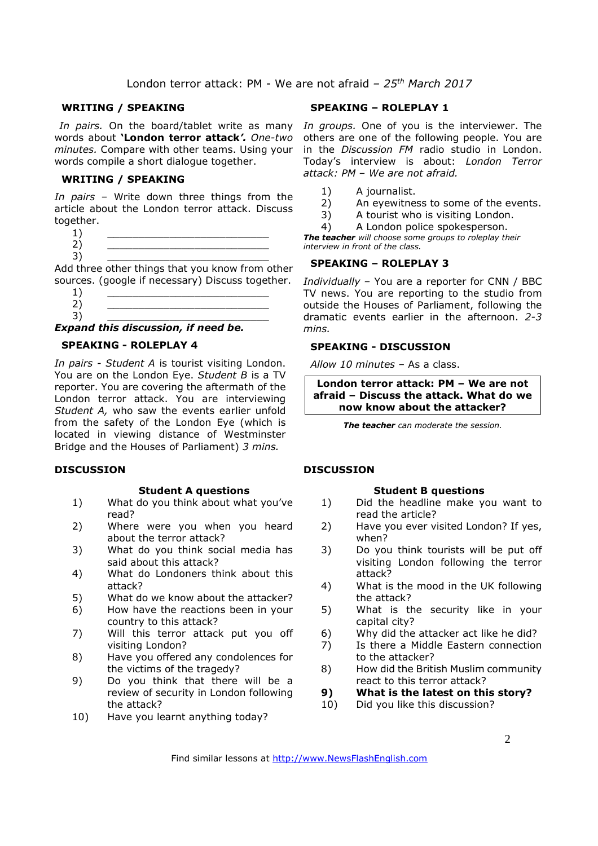London terror attack: PM - We are not afraid *– 25th March 2017*

#### **WRITING / SPEAKING**

words about **'London terror attack***'. One-two minutes.* Compare with other teams. Using your words compile a short dialogue together.

#### **WRITING / SPEAKING**

*In pairs* – Write down three things from the article about the London terror attack. Discuss together.

 $1)$   $\qquad \qquad$ 2) \_\_\_\_\_\_\_\_\_\_\_\_\_\_\_\_\_\_\_\_\_\_\_\_\_\_

3) \_\_\_\_\_\_\_\_\_\_\_\_\_\_\_\_\_\_\_\_\_\_\_\_\_\_ Add three other things that you know from other sources. (google if necessary) Discuss together.

- $1)$   $\qquad \qquad$
- 2) \_\_\_\_\_\_\_\_\_\_\_\_\_\_\_\_\_\_\_\_\_\_\_\_\_\_ 3) \_\_\_\_\_\_\_\_\_\_\_\_\_\_\_\_\_\_\_\_\_\_\_\_\_\_

#### *Expand this discussion, if need be.*

#### **SPEAKING - ROLEPLAY 4**

*In pairs - Student A* is tourist visiting London. You are on the London Eye. *Student B* is a TV reporter. You are covering the aftermath of the London terror attack. You are interviewing *Student A,* who saw the events earlier unfold from the safety of the London Eye (which is located in viewing distance of Westminster Bridge and the Houses of Parliament) *3 mins.* 

#### **DISCUSSION**

#### **Student A questions**

- 1) What do you think about what you've read?
- 2) Where were you when you heard about the terror attack?
- 3) What do you think social media has said about this attack?
- 4) What do Londoners think about this attack?
- 5) What do we know about the attacker?
- 6) How have the reactions been in your country to this attack?
- 7) Will this terror attack put you off visiting London?
- 8) Have you offered any condolences for the victims of the tragedy?
- 9) Do you think that there will be a review of security in London following the attack?
- 10) Have you learnt anything today?

#### **SPEAKING – ROLEPLAY 1**

In pairs. On the board/tablet write as many In groups. One of you is the interviewer. The others are one of the following people. You are in the *Discussion FM* radio studio in London. Today's interview is about: *London Terror attack: PM – We are not afraid.*

- 1) A journalist.
- 2) An eyewitness to some of the events.
- 3) A tourist who is visiting London.
- 4) A London police spokesperson.

*The teacher will choose some groups to roleplay their interview in front of the class.* 

#### **SPEAKING – ROLEPLAY 3**

*Individually –* You are a reporter for CNN / BBC TV news. You are reporting to the studio from outside the Houses of Parliament, following the dramatic events earlier in the afternoon. *2-3 mins.* 

#### **SPEAKING - DISCUSSION**

*Allow 10 minutes* – As a class.

**London terror attack: PM – We are not afraid – Discuss the attack. What do we now know about the attacker?**

*The teacher can moderate the session.*

#### **DISCUSSION**

#### **Student B questions**

- 1) Did the headline make you want to read the article?
- 2) Have you ever visited London? If yes, when?
- 3) Do you think tourists will be put off visiting London following the terror attack?
- 4) What is the mood in the UK following the attack?
- 5) What is the security like in your capital city?
- 6) Why did the attacker act like he did?
- 7) Is there a Middle Eastern connection to the attacker?
- 8) How did the British Muslim community react to this terror attack?
- **9) What is the latest on this story?**
- 10) Did you like this discussion?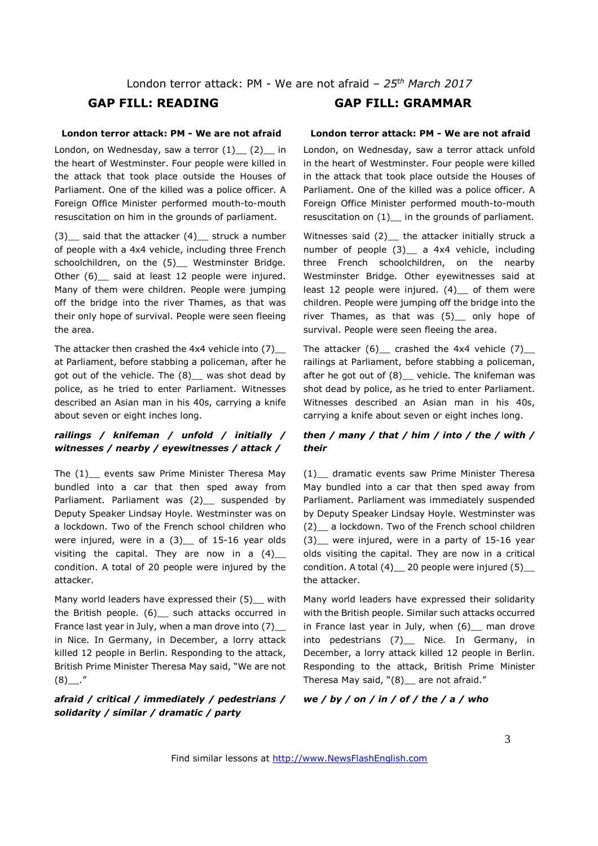London terror attack: PM - We are not afraid *– 25th March 2017*

#### **London terror attack: PM - We are not afraid**

London, on Wednesday, saw a terror (1) (2) in the heart of Westminster. Four people were killed in the attack that took place outside the Houses of Parliament. One of the killed was a police officer. A Foreign Office Minister performed mouth-to-mouth resuscitation on him in the grounds of parliament.

 $(3)$  said that the attacker  $(4)$  struck a number of people with a 4x4 vehicle, including three French schoolchildren, on the (5) Westminster Bridge. Other (6) said at least 12 people were injured. Many of them were children. People were jumping off the bridge into the river Thames, as that was their only hope of survival. People were seen fleeing the area.

The attacker then crashed the 4x4 vehicle into (7)\_\_ at Parliament, before stabbing a policeman, after he got out of the vehicle. The (8)\_\_ was shot dead by police, as he tried to enter Parliament. Witnesses described an Asian man in his 40s, carrying a knife about seven or eight inches long.

#### *railings / knifeman / unfold / initially / witnesses / nearby / eyewitnesses / attack /*

The (1) events saw Prime Minister Theresa May bundled into a car that then sped away from Parliament. Parliament was (2)\_\_ suspended by Deputy Speaker Lindsay Hoyle. Westminster was on a lockdown. Two of the French school children who were injured, were in a  $(3)$  of 15-16 year olds visiting the capital. They are now in a  $(4)$ condition. A total of 20 people were injured by the attacker.

Many world leaders have expressed their (5) with the British people. (6) \_ such attacks occurred in France last year in July, when a man drove into  $(7)$ in Nice. In Germany, in December, a lorry attack killed 12 people in Berlin. Responding to the attack, British Prime Minister Theresa May said, "We are not  $(8)$ ."

#### *afraid / critical / immediately / pedestrians / solidarity / similar / dramatic / party*

### **GAP FILL: READING GAP FILL: GRAMMAR**

#### **London terror attack: PM - We are not afraid**

London, on Wednesday, saw a terror attack unfold in the heart of Westminster. Four people were killed in the attack that took place outside the Houses of Parliament. One of the killed was a police officer. A Foreign Office Minister performed mouth-to-mouth resuscitation on (1) in the grounds of parliament.

Witnesses said  $(2)$  the attacker initially struck a number of people (3) a 4x4 vehicle, including three French schoolchildren, on the nearby Westminster Bridge. Other eyewitnesses said at least 12 people were injured.  $(4)$  of them were children. People were jumping off the bridge into the river Thames, as that was (5)\_\_ only hope of survival. People were seen fleeing the area.

The attacker (6) crashed the 4x4 vehicle (7) railings at Parliament, before stabbing a policeman, after he got out of  $(8)$  vehicle. The knifeman was shot dead by police, as he tried to enter Parliament. Witnesses described an Asian man in his 40s, carrying a knife about seven or eight inches long.

#### *then / many / that / him / into / the / with / their*

(1)\_\_ dramatic events saw Prime Minister Theresa May bundled into a car that then sped away from Parliament. Parliament was immediately suspended by Deputy Speaker Lindsay Hoyle. Westminster was (2)\_\_ a lockdown. Two of the French school children  $(3)$  were injured, were in a party of 15-16 year olds visiting the capital. They are now in a critical condition. A total (4)\_\_ 20 people were injured (5)\_\_ the attacker.

Many world leaders have expressed their solidarity with the British people. Similar such attacks occurred in France last year in July, when  $(6)$  man drove into pedestrians (7)\_\_ Nice. In Germany, in December, a lorry attack killed 12 people in Berlin. Responding to the attack, British Prime Minister Theresa May said, "(8) \_ are not afraid."

#### *we / by / on / in / of / the / a / who*